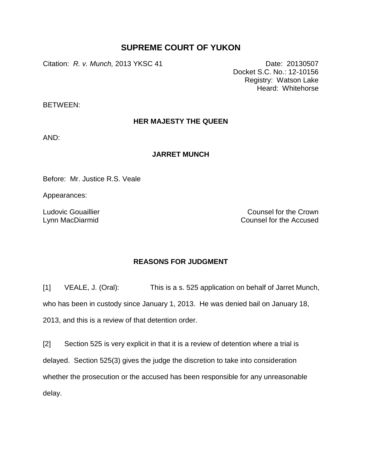## **SUPREME COURT OF YUKON**

Citation: *R. v. Munch,* 2013 YKSC 41 Date: 20130507

Docket S.C. No.: 12-10156 Registry: Watson Lake Heard: Whitehorse

BETWEEN:

## **HER MAJESTY THE QUEEN**

AND:

## **JARRET MUNCH**

Before: Mr. Justice R.S. Veale

Appearances:

Ludovic Gouaillier Lynn MacDiarmid

Counsel for the Crown Counsel for the Accused

## **REASONS FOR JUDGMENT**

[1] VEALE, J. (Oral): This is a s. 525 application on behalf of Jarret Munch, who has been in custody since January 1, 2013. He was denied bail on January 18, 2013, and this is a review of that detention order.

[2] Section 525 is very explicit in that it is a review of detention where a trial is delayed. Section 525(3) gives the judge the discretion to take into consideration whether the prosecution or the accused has been responsible for any unreasonable delay.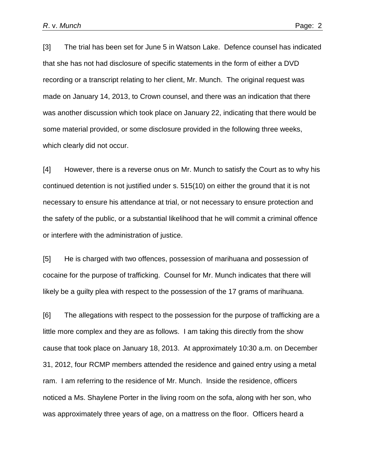[3] The trial has been set for June 5 in Watson Lake. Defence counsel has indicated that she has not had disclosure of specific statements in the form of either a DVD recording or a transcript relating to her client, Mr. Munch. The original request was made on January 14, 2013, to Crown counsel, and there was an indication that there was another discussion which took place on January 22, indicating that there would be some material provided, or some disclosure provided in the following three weeks, which clearly did not occur.

[4] However, there is a reverse onus on Mr. Munch to satisfy the Court as to why his continued detention is not justified under s. 515(10) on either the ground that it is not necessary to ensure his attendance at trial, or not necessary to ensure protection and the safety of the public, or a substantial likelihood that he will commit a criminal offence or interfere with the administration of justice.

[5] He is charged with two offences, possession of marihuana and possession of cocaine for the purpose of trafficking. Counsel for Mr. Munch indicates that there will likely be a guilty plea with respect to the possession of the 17 grams of marihuana.

[6] The allegations with respect to the possession for the purpose of trafficking are a little more complex and they are as follows. I am taking this directly from the show cause that took place on January 18, 2013. At approximately 10:30 a.m. on December 31, 2012, four RCMP members attended the residence and gained entry using a metal ram. I am referring to the residence of Mr. Munch. Inside the residence, officers noticed a Ms. Shaylene Porter in the living room on the sofa, along with her son, who was approximately three years of age, on a mattress on the floor. Officers heard a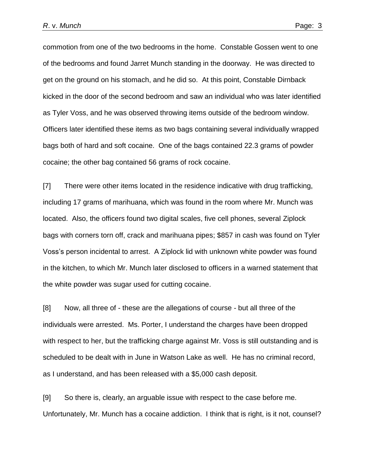commotion from one of the two bedrooms in the home. Constable Gossen went to one of the bedrooms and found Jarret Munch standing in the doorway. He was directed to get on the ground on his stomach, and he did so. At this point, Constable Dirnback kicked in the door of the second bedroom and saw an individual who was later identified as Tyler Voss, and he was observed throwing items outside of the bedroom window. Officers later identified these items as two bags containing several individually wrapped bags both of hard and soft cocaine. One of the bags contained 22.3 grams of powder cocaine; the other bag contained 56 grams of rock cocaine.

[7] There were other items located in the residence indicative with drug trafficking, including 17 grams of marihuana, which was found in the room where Mr. Munch was located. Also, the officers found two digital scales, five cell phones, several Ziplock bags with corners torn off, crack and marihuana pipes; \$857 in cash was found on Tyler Voss's person incidental to arrest. A Ziplock lid with unknown white powder was found in the kitchen, to which Mr. Munch later disclosed to officers in a warned statement that the white powder was sugar used for cutting cocaine.

[8] Now, all three of - these are the allegations of course - but all three of the individuals were arrested. Ms. Porter, I understand the charges have been dropped with respect to her, but the trafficking charge against Mr. Voss is still outstanding and is scheduled to be dealt with in June in Watson Lake as well. He has no criminal record, as I understand, and has been released with a \$5,000 cash deposit.

[9] So there is, clearly, an arguable issue with respect to the case before me. Unfortunately, Mr. Munch has a cocaine addiction. I think that is right, is it not, counsel?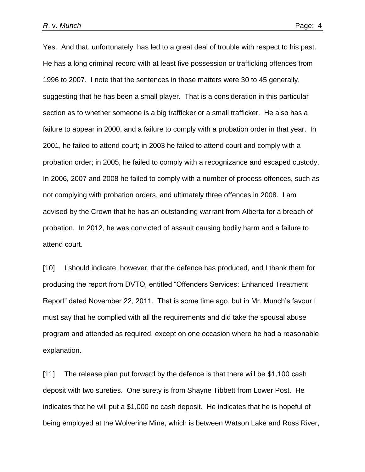Yes. And that, unfortunately, has led to a great deal of trouble with respect to his past. He has a long criminal record with at least five possession or trafficking offences from 1996 to 2007. I note that the sentences in those matters were 30 to 45 generally, suggesting that he has been a small player. That is a consideration in this particular section as to whether someone is a big trafficker or a small trafficker. He also has a failure to appear in 2000, and a failure to comply with a probation order in that year. In 2001, he failed to attend court; in 2003 he failed to attend court and comply with a probation order; in 2005, he failed to comply with a recognizance and escaped custody. In 2006, 2007 and 2008 he failed to comply with a number of process offences, such as not complying with probation orders, and ultimately three offences in 2008. I am advised by the Crown that he has an outstanding warrant from Alberta for a breach of probation. In 2012, he was convicted of assault causing bodily harm and a failure to attend court.

[10] I should indicate, however, that the defence has produced, and I thank them for producing the report from DVTO, entitled "Offenders Services: Enhanced Treatment Report" dated November 22, 2011. That is some time ago, but in Mr. Munch's favour I must say that he complied with all the requirements and did take the spousal abuse program and attended as required, except on one occasion where he had a reasonable explanation.

[11] The release plan put forward by the defence is that there will be \$1,100 cash deposit with two sureties. One surety is from Shayne Tibbett from Lower Post. He indicates that he will put a \$1,000 no cash deposit. He indicates that he is hopeful of being employed at the Wolverine Mine, which is between Watson Lake and Ross River,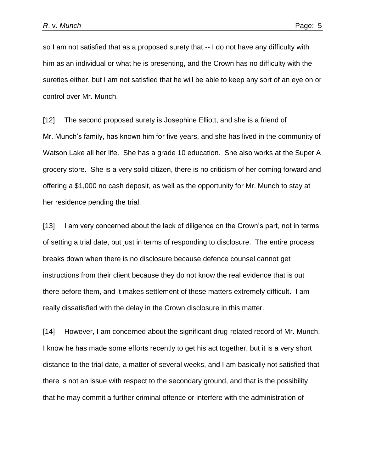so I am not satisfied that as a proposed surety that -- I do not have any difficulty with him as an individual or what he is presenting, and the Crown has no difficulty with the sureties either, but I am not satisfied that he will be able to keep any sort of an eye on or control over Mr. Munch.

[12] The second proposed surety is Josephine Elliott, and she is a friend of Mr. Munch's family, has known him for five years, and she has lived in the community of Watson Lake all her life. She has a grade 10 education. She also works at the Super A grocery store. She is a very solid citizen, there is no criticism of her coming forward and offering a \$1,000 no cash deposit, as well as the opportunity for Mr. Munch to stay at her residence pending the trial.

[13] I am very concerned about the lack of diligence on the Crown's part, not in terms of setting a trial date, but just in terms of responding to disclosure. The entire process breaks down when there is no disclosure because defence counsel cannot get instructions from their client because they do not know the real evidence that is out there before them, and it makes settlement of these matters extremely difficult. I am really dissatisfied with the delay in the Crown disclosure in this matter.

[14] However, I am concerned about the significant drug-related record of Mr. Munch. I know he has made some efforts recently to get his act together, but it is a very short distance to the trial date, a matter of several weeks, and I am basically not satisfied that there is not an issue with respect to the secondary ground, and that is the possibility that he may commit a further criminal offence or interfere with the administration of